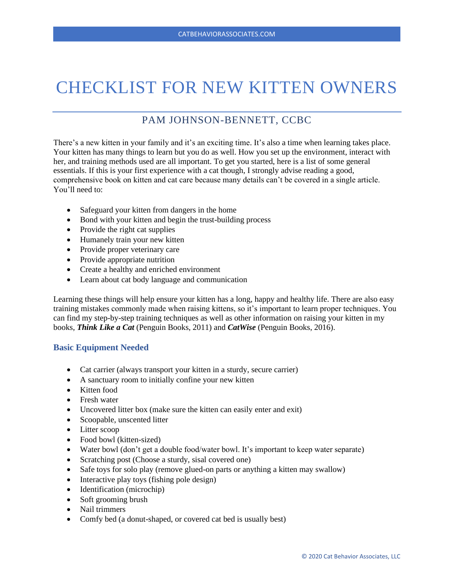# CHECKLIST FOR NEW KITTEN OWNERS

# PAM JOHNSON-BENNETT, CCBC

There's a new kitten in your family and it's an exciting time. It's also a time when learning takes place. Your kitten has many things to learn but you do as well. How you set up the environment, interact with her, and training methods used are all important. To get you started, here is a list of some general essentials. If this is your first experience with a cat though, I strongly advise reading a good, comprehensive book on kitten and cat care because many details can't be covered in a single article. You'll need to:

- Safeguard your kitten from dangers in the home
- Bond with your kitten and begin the trust-building process
- Provide the right cat supplies
- Humanely train your new kitten
- Provide proper veterinary care
- Provide appropriate nutrition
- Create a healthy and enriched environment
- Learn about cat body language and communication

Learning these things will help ensure your kitten has a long, happy and healthy life. There are also easy training mistakes commonly made when raising kittens, so it's important to learn proper techniques. You can find my step-by-step training techniques as well as other information on raising your kitten in my books, *Think Like a Cat* (Penguin Books, 2011) and *CatWise* (Penguin Books, 2016).

# **Basic Equipment Needed**

- Cat carrier (always transport your kitten in a sturdy, secure carrier)
- A sanctuary room to initially confine your new kitten
- Kitten food
- Fresh water
- Uncovered litter box (make sure the kitten can easily enter and exit)
- Scoopable, unscented litter
- Litter scoop
- Food bowl (kitten-sized)
- Water bowl (don't get a double food/water bowl. It's important to keep water separate)
- Scratching post (Choose a sturdy, sisal covered one)
- Safe toys for solo play (remove glued-on parts or anything a kitten may swallow)
- Interactive play toys (fishing pole design)
- Identification (microchip)
- Soft grooming brush
- Nail trimmers
- Comfy bed (a donut-shaped, or covered cat bed is usually best)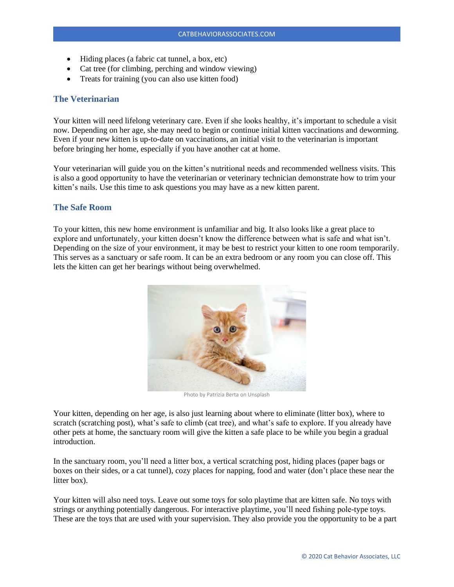- Hiding places (a fabric cat tunnel, a box, etc)
- Cat tree (for climbing, perching and window viewing)
- Treats for training (you can also use kitten food)

# **The Veterinarian**

Your kitten will need lifelong veterinary care. Even if she looks healthy, it's important to schedule a visit now. Depending on her age, she may need to begin or continue initial kitten vaccinations and deworming. Even if your new kitten is up-to-date on vaccinations, an initial visit to the veterinarian is important before bringing her home, especially if you have another cat at home.

Your veterinarian will guide you on the kitten's nutritional needs and recommended wellness visits. This is also a good opportunity to have the veterinarian or veterinary technician demonstrate how to trim your kitten's nails. Use this time to ask questions you may have as a new kitten parent.

#### **The Safe Room**

To your kitten, this new home environment is unfamiliar and big. It also looks like a great place to explore and unfortunately, your kitten doesn't know the difference between what is safe and what isn't. Depending on the size of your environment, it may be best to restrict your kitten to one room temporarily. This serves as a sanctuary or safe room. It can be an extra bedroom or any room you can close off. This lets the kitten can get her bearings without being overwhelmed.



Your kitten, depending on her age, is also just learning about where to eliminate (litter box), where to scratch (scratching post), what's safe to climb (cat tree), and what's safe to explore. If you already have other pets at home, the sanctuary room will give the kitten a safe place to be while you begin a gradual introduction.

In the sanctuary room, you'll need a litter box, a vertical scratching post, hiding places (paper bags or boxes on their sides, or a cat tunnel), cozy places for napping, food and water (don't place these near the litter box).

Your kitten will also need toys. Leave out some toys for solo playtime that are kitten safe. No toys with strings or anything potentially dangerous. For interactive playtime, you'll need fishing pole-type toys. These are the toys that are used with your supervision. They also provide you the opportunity to be a part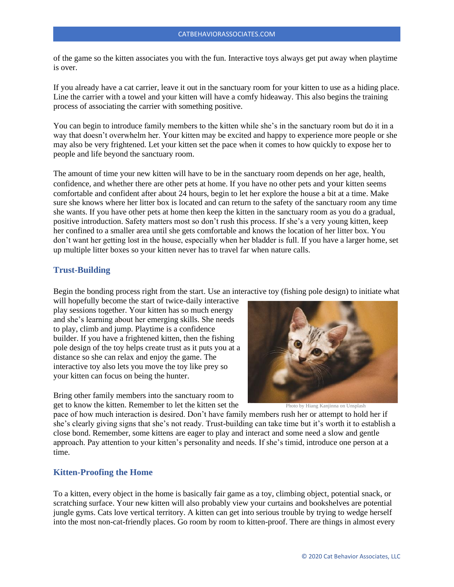of the game so the kitten associates you with the fun. Interactive toys always get put away when playtime is over.

If you already have a cat carrier, leave it out in the sanctuary room for your kitten to use as a hiding place. Line the carrier with a towel and your kitten will have a comfy hideaway. This also begins the training process of associating the carrier with something positive.

You can begin to introduce family members to the kitten while she's in the sanctuary room but do it in a way that doesn't overwhelm her. Your kitten may be excited and happy to experience more people or she may also be very frightened. Let your kitten set the pace when it comes to how quickly to expose her to people and life beyond the sanctuary room.

The amount of time your new kitten will have to be in the sanctuary room depends on her age, health, confidence, and whether there are other pets at home. If you have no other pets and your kitten seems comfortable and confident after about 24 hours, begin to let her explore the house a bit at a time. Make sure she knows where her litter box is located and can return to the safety of the sanctuary room any time she wants. If you have other pets at home then keep the kitten in the sanctuary room as you do a gradual, positive introduction. Safety matters most so don't rush this process. If she's a very young kitten, keep her confined to a smaller area until she gets comfortable and knows the location of her litter box. You don't want her getting lost in the house, especially when her bladder is full. If you have a larger home, set up multiple litter boxes so your kitten never has to travel far when nature calls.

# **Trust-Building**

Begin the bonding process right from the start. Use an interactive toy (fishing pole design) to initiate what

will hopefully become the start of twice-daily interactive play sessions together. Your kitten has so much energy and she's learning about her emerging skills. She needs to play, climb and jump. Playtime is a confidence builder. If you have a frightened kitten, then the fishing pole design of the toy helps create trust as it puts you at a distance so she can relax and enjoy the game. The interactive toy also lets you move the toy like prey so your kitten can focus on being the hunter.

Bring other family members into the sanctuary room to get to know the kitten. Remember to let the kitten set the



Photo by Hiang Kanjinna on Unsplash

pace of how much interaction is desired. Don't have family members rush her or attempt to hold her if she's clearly giving signs that she's not ready. Trust-building can take time but it's worth it to establish a close bond. Remember, some kittens are eager to play and interact and some need a slow and gentle approach. Pay attention to your kitten's personality and needs. If she's timid, introduce one person at a time.

# **Kitten-Proofing the Home**

To a kitten, every object in the home is basically fair game as a toy, climbing object, potential snack, or scratching surface. Your new kitten will also probably view your curtains and bookshelves are potential jungle gyms. Cats love vertical territory. A kitten can get into serious trouble by trying to wedge herself into the most non-cat-friendly places. Go room by room to kitten-proof. There are things in almost every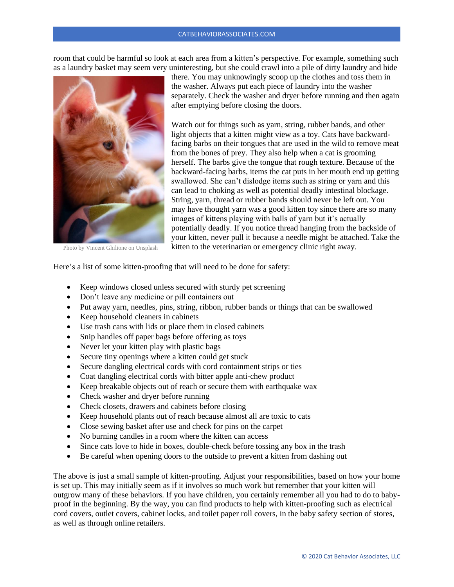room that could be harmful so look at each area from a kitten's perspective. For example, something such as a laundry basket may seem very uninteresting, but she could crawl into a pile of dirty laundry and hide



Photo by Vincent Ghilione on Unsplash

there. You may unknowingly scoop up the clothes and toss them in the washer. Always put each piece of laundry into the washer separately. Check the washer and dryer before running and then again after emptying before closing the doors.

Watch out for things such as yarn, string, rubber bands, and other light objects that a kitten might view as a toy. Cats have backwardfacing barbs on their tongues that are used in the wild to remove meat from the bones of prey. They also help when a cat is grooming herself. The barbs give the tongue that rough texture. Because of the backward-facing barbs, items the cat puts in her mouth end up getting swallowed. She can't dislodge items such as string or yarn and this can lead to choking as well as potential deadly intestinal blockage. String, yarn, thread or rubber bands should never be left out. You may have thought yarn was a good kitten toy since there are so many images of kittens playing with balls of yarn but it's actually potentially deadly. If you notice thread hanging from the backside of your kitten, never pull it because a needle might be attached. Take the kitten to the veterinarian or emergency clinic right away.

Here's a list of some kitten-proofing that will need to be done for safety:

- Keep windows closed unless secured with sturdy pet screening
- Don't leave any medicine or pill containers out
- Put away yarn, needles, pins, string, ribbon, rubber bands or things that can be swallowed
- Keep household cleaners in cabinets
- Use trash cans with lids or place them in closed cabinets
- Snip handles off paper bags before offering as toys
- Never let your kitten play with plastic bags
- Secure tiny openings where a kitten could get stuck
- Secure dangling electrical cords with cord containment strips or ties
- Coat dangling electrical cords with bitter apple anti-chew product
- Keep breakable objects out of reach or secure them with earthquake wax
- Check washer and dryer before running
- Check closets, drawers and cabinets before closing
- Keep household plants out of reach because almost all are toxic to cats
- Close sewing basket after use and check for pins on the carpet
- No burning candles in a room where the kitten can access
- Since cats love to hide in boxes, double-check before tossing any box in the trash
- Be careful when opening doors to the outside to prevent a kitten from dashing out

The above is just a small sample of kitten-proofing. Adjust your responsibilities, based on how your home is set up. This may initially seem as if it involves so much work but remember that your kitten will outgrow many of these behaviors. If you have children, you certainly remember all you had to do to babyproof in the beginning. By the way, you can find products to help with kitten-proofing such as electrical cord covers, outlet covers, cabinet locks, and toilet paper roll covers, in the baby safety section of stores, as well as through online retailers.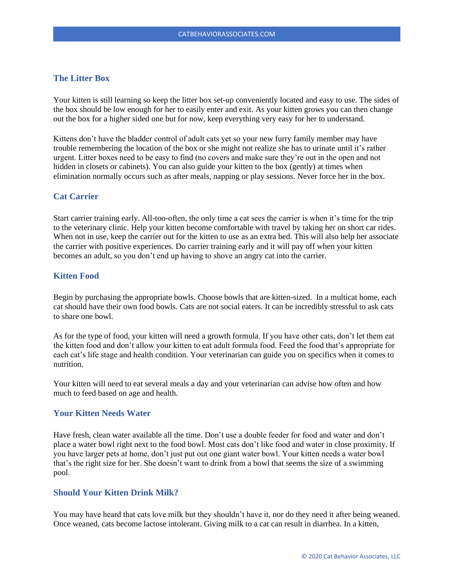# **The Litter Box**

Your kitten is still learning so keep the litter box set-up conveniently located and easy to use. The sides of the box should be low enough for her to easily enter and exit. As your kitten grows you can then change out the box for a higher sided one but for now, keep everything very easy for her to understand.

Kittens don't have the bladder control of adult cats yet so your new furry family member may have trouble remembering the location of the box or she might not realize she has to urinate until it's rather urgent. Litter boxes need to be easy to find (no covers and make sure they're out in the open and not hidden in closets or cabinets). You can also guide your kitten to the box (gently) at times when elimination normally occurs such as after meals, napping or play sessions. Never force her in the box.

# **Cat Carrier**

Start carrier training early. All-too-often, the only time a cat sees the carrier is when it's time for the trip to the veterinary clinic. Help your kitten become comfortable with travel by taking her on short car rides. When not in use, keep the carrier out for the kitten to use as an extra bed. This will also help her associate the carrier with positive experiences. Do carrier training early and it will pay off when your kitten becomes an adult, so you don't end up having to shove an angry cat into the carrier.

# **Kitten Food**

Begin by purchasing the appropriate bowls. Choose bowls that are kitten-sized. In a multicat home, each cat should have their own food bowls. Cats are not social eaters. It can be incredibly stressful to ask cats to share one bowl.

As for the type of food, your kitten will need a growth formula. If you have other cats, don't let them eat the kitten food and don't allow your kitten to eat adult formula food. Feed the food that's appropriate for each cat's life stage and health condition. Your veterinarian can guide you on specifics when it comes to nutrition.

Your kitten will need to eat several meals a day and your veterinarian can advise how often and how much to feed based on age and health.

# **Your Kitten Needs Water**

Have fresh, clean water available all the time. Don't use a double feeder for food and water and don't place a water bowl right next to the food bowl. Most cats don't like food and water in close proximity. If you have larger pets at home, don't just put out one giant water bowl. Your kitten needs a water bowl that's the right size for her. She doesn't want to drink from a bowl that seems the size of a swimming pool.

# **Should Your Kitten Drink Milk?**

You may have heard that cats love milk but they shouldn't have it, nor do they need it after being weaned. Once weaned, cats become lactose intolerant. Giving milk to a cat can result in diarrhea. In a kitten,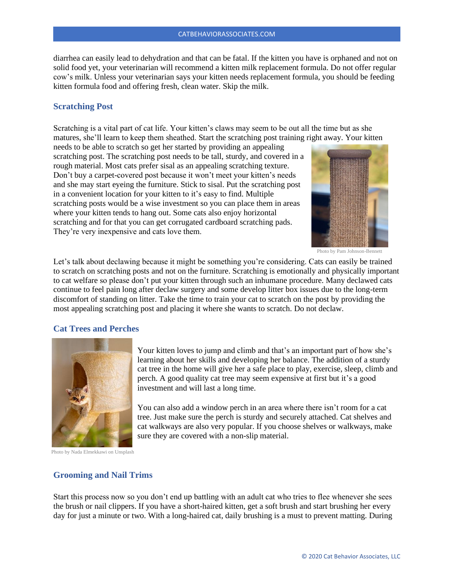diarrhea can easily lead to dehydration and that can be fatal. If the kitten you have is orphaned and not on solid food yet, your veterinarian will recommend a kitten milk replacement formula. Do not offer regular cow's milk. Unless your veterinarian says your kitten needs replacement formula, you should be feeding kitten formula food and offering fresh, clean water. Skip the milk.

# **Scratching Post**

Scratching is a vital part of cat life. Your kitten's claws may seem to be out all the time but as she matures, she'll learn to keep them sheathed. Start the scratching post training right away. Your kitten

needs to be able to scratch so get her started by providing an appealing scratching post. The scratching post needs to be tall, sturdy, and covered in a rough material. Most cats prefer sisal as an appealing scratching texture. Don't buy a carpet-covered post because it won't meet your kitten's needs and she may start eyeing the furniture. Stick to sisal. Put the scratching post in a convenient location for your kitten to it's easy to find. Multiple scratching posts would be a wise investment so you can place them in areas where your kitten tends to hang out. Some cats also enjoy horizontal scratching and for that you can get corrugated cardboard scratching pads. They're very inexpensive and cats love them.



Photo by Pam Johnson-Bennett

Let's talk about declawing because it might be something you're considering. Cats can easily be trained to scratch on scratching posts and not on the furniture. Scratching is emotionally and physically important to cat welfare so please don't put your kitten through such an inhumane procedure. Many declawed cats continue to feel pain long after declaw surgery and some develop litter box issues due to the long-term discomfort of standing on litter. Take the time to train your cat to scratch on the post by providing the most appealing scratching post and placing it where she wants to scratch. Do not declaw.

#### **Cat Trees and Perches**



Your kitten loves to jump and climb and that's an important part of how she's learning about her skills and developing her balance. The addition of a sturdy cat tree in the home will give her a safe place to play, exercise, sleep, climb and perch. A good quality cat tree may seem expensive at first but it's a good investment and will last a long time.

You can also add a window perch in an area where there isn't room for a cat tree. Just make sure the perch is sturdy and securely attached. Cat shelves and cat walkways are also very popular. If you choose shelves or walkways, make sure they are covered with a non-slip material.

Photo by Nada Elmekkawi on Unsplash

#### **Grooming and Nail Trims**

Start this process now so you don't end up battling with an adult cat who tries to flee whenever she sees the brush or nail clippers. If you have a short-haired kitten, get a soft brush and start brushing her every day for just a minute or two. With a long-haired cat, daily brushing is a must to prevent matting. During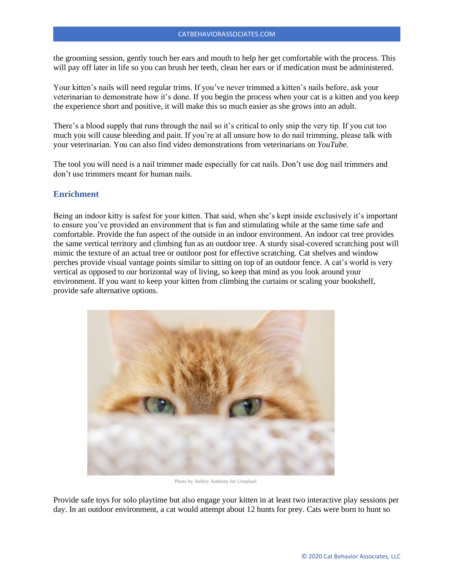the grooming session, gently touch her ears and mouth to help her get comfortable with the process. This will pay off later in life so you can brush her teeth, clean her ears or if medication must be administered.

Your kitten's nails will need regular trims. If you've never trimmed a kitten's nails before, ask your veterinarian to demonstrate how it's done. If you begin the process when your cat is a kitten and you keep the experience short and positive, it will make this so much easier as she grows into an adult.

There's a blood supply that runs through the nail so it's critical to only snip the very tip. If you cut too much you will cause bleeding and pain. If you're at all unsure how to do nail trimming, please talk with your veterinarian. You can also find video demonstrations from veterinarians on *YouTube.*

The tool you will need is a nail trimmer made especially for cat nails. Don't use dog nail trimmers and don't use trimmers meant for human nails.

#### **Enrichment**

Being an indoor kitty is safest for your kitten. That said, when she's kept inside exclusively it's important to ensure you've provided an environment that is fun and stimulating while at the same time safe and comfortable. Provide the fun aspect of the outside in an indoor environment. An indoor cat tree provides the same vertical territory and climbing fun as an outdoor tree. A sturdy sisal-covered scratching post will mimic the texture of an actual tree or outdoor post for effective scratching. Cat shelves and window perches provide visual vantage points similar to sitting on top of an outdoor fence. A cat's world is very vertical as opposed to our horizontal way of living, so keep that mind as you look around your environment. If you want to keep your kitten from climbing the curtains or scaling your bookshelf, provide safe alternative options.



Photo by Ashley Anthony for Unsplash

Provide safe toys for solo playtime but also engage your kitten in at least two interactive play sessions per day. In an outdoor environment, a cat would attempt about 12 hunts for prey. Cats were born to hunt so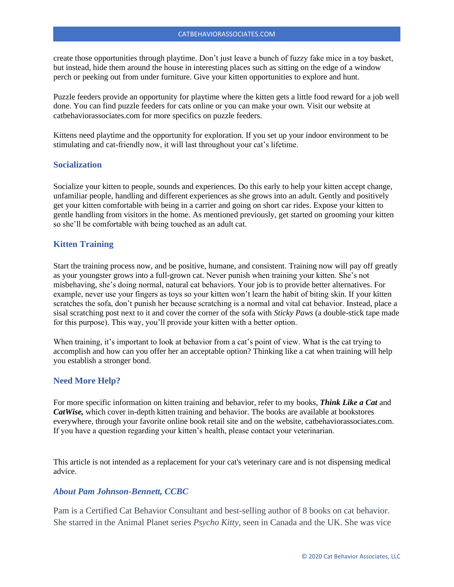create those opportunities through playtime. Don't just leave a bunch of fuzzy fake mice in a toy basket, but instead, hide them around the house in interesting places such as sitting on the edge of a window perch or peeking out from under furniture. Give your kitten opportunities to explore and hunt.

Puzzle feeders provide an opportunity for playtime where the kitten gets a little food reward for a job well done. You can find puzzle feeders for cats online or you can make your own. Visit our website at catbehaviorassociates.com for more specifics on puzzle feeders.

Kittens need playtime and the opportunity for exploration. If you set up your indoor environment to be stimulating and cat-friendly now, it will last throughout your cat's lifetime.

# **Socialization**

Socialize your kitten to people, sounds and experiences. Do this early to help your kitten accept change, unfamiliar people, handling and different experiences as she grows into an adult. Gently and positively get your kitten comfortable with being in a carrier and going on short car rides. Expose your kitten to gentle handling from visitors in the home. As mentioned previously, get started on grooming your kitten so she'll be comfortable with being touched as an adult cat.

# **Kitten Training**

Start the training process now, and be positive, humane, and consistent. Training now will pay off greatly as your youngster grows into a full-grown cat. Never punish when training your kitten. She's not misbehaving, she's doing normal, natural cat behaviors. Your job is to provide better alternatives. For example, never use your fingers as toys so your kitten won't learn the habit of biting skin. If your kitten scratches the sofa, don't punish her because scratching is a normal and vital cat behavior. Instead, place a sisal scratching post next to it and cover the corner of the sofa with *Sticky Paws* (a double-stick tape made for this purpose). This way, you'll provide your kitten with a better option.

When training, it's important to look at behavior from a cat's point of view. What is the cat trying to accomplish and how can you offer her an acceptable option? Thinking like a cat when training will help you establish a stronger bond.

# **Need More Help?**

For more specific information on kitten training and behavior, refer to my books, *Think Like a Cat* and *CatWise,* which cover in-depth kitten training and behavior. The books are available at bookstores everywhere, through your favorite online book retail site and on the website, catbehaviorassociates.com. If you have a question regarding your kitten's health, please contact your veterinarian.

This article is not intended as a replacement for your cat's veterinary care and is not dispensing medical advice.

# *About Pam Johnson-Bennett, CCBC*

Pam is a Certified Cat Behavior Consultant and best-selling author of 8 books on cat behavior. She starred in the Animal Planet series *Psycho Kitty*, seen in Canada and the UK. She was vice